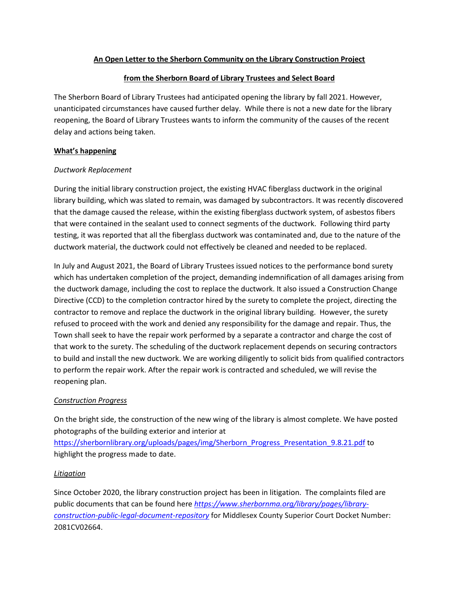## **An Open Letter to the Sherborn Community on the Library Construction Project**

## **from the Sherborn Board of Library Trustees and Select Board**

The Sherborn Board of Library Trustees had anticipated opening the library by fall 2021. However, unanticipated circumstances have caused further delay. While there is not a new date for the library reopening, the Board of Library Trustees wants to inform the community of the causes of the recent delay and actions being taken.

## **What's happening**

## *Ductwork Replacement*

During the initial library construction project, the existing HVAC fiberglass ductwork in the original library building, which was slated to remain, was damaged by subcontractors. It was recently discovered that the damage caused the release, within the existing fiberglass ductwork system, of asbestos fibers that were contained in the sealant used to connect segments of the ductwork. Following third party testing, it was reported that all the fiberglass ductwork was contaminated and, due to the nature of the ductwork material, the ductwork could not effectively be cleaned and needed to be replaced.

In July and August 2021, the Board of Library Trustees issued notices to the performance bond surety which has undertaken completion of the project, demanding indemnification of all damages arising from the ductwork damage, including the cost to replace the ductwork. It also issued a Construction Change Directive (CCD) to the completion contractor hired by the surety to complete the project, directing the contractor to remove and replace the ductwork in the original library building. However, the surety refused to proceed with the work and denied any responsibility for the damage and repair. Thus, the Town shall seek to have the repair work performed by a separate a contractor and charge the cost of that work to the surety. The scheduling of the ductwork replacement depends on securing contractors to build and install the new ductwork. We are working diligently to solicit bids from qualified contractors to perform the repair work. After the repair work is contracted and scheduled, we will revise the reopening plan.

# *Construction Progress*

On the bright side, the construction of the new wing of the library is almost complete. We have posted photographs of the building exterior and interior at

[https://sherbornlibrary.org/uploads/pages/img/Sherborn\\_Progress\\_Presentation\\_9.8.21.pdf](https://sherbornlibrary.org/uploads/pages/img/Sherborn_Progress_Presentation_9.8.21.pdf) to highlight the progress made to date.

# *Litigation*

Since October 2020, the library construction project has been in litigation. The complaints filed are public documents that can be found here *[https://www.sherbornma.org/library/pages/library](https://www.sherbornma.org/library/pages/library-construction-public-legal-document-repository)[construction-public-legal-document-repository](https://www.sherbornma.org/library/pages/library-construction-public-legal-document-repository)* for Middlesex County Superior Court Docket Number: 2081CV02664.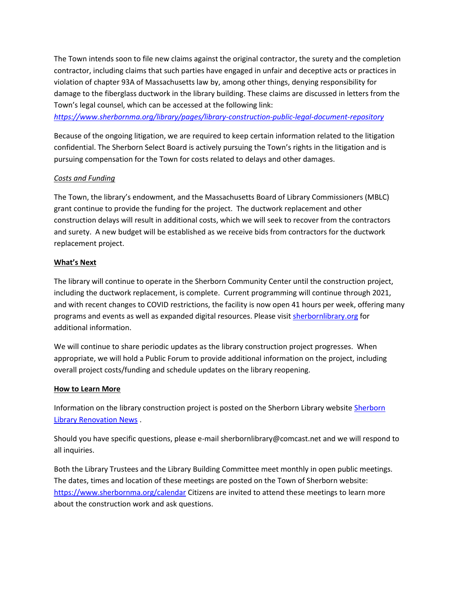The Town intends soon to file new claims against the original contractor, the surety and the completion contractor, including claims that such parties have engaged in unfair and deceptive acts or practices in violation of chapter 93A of Massachusetts law by, among other things, denying responsibility for damage to the fiberglass ductwork in the library building. These claims are discussed in letters from the Town's legal counsel, which can be accessed at the following link:

*<https://www.sherbornma.org/library/pages/library-construction-public-legal-document-repository>*

Because of the ongoing litigation, we are required to keep certain information related to the litigation confidential. The Sherborn Select Board is actively pursuing the Town's rights in the litigation and is pursuing compensation for the Town for costs related to delays and other damages.

## *Costs and Funding*

The Town, the library's endowment, and the Massachusetts Board of Library Commissioners (MBLC) grant continue to provide the funding for the project. The ductwork replacement and other construction delays will result in additional costs, which we will seek to recover from the contractors and surety. A new budget will be established as we receive bids from contractors for the ductwork replacement project.

### **What's Next**

The library will continue to operate in the Sherborn Community Center until the construction project, including the ductwork replacement, is complete. Current programming will continue through 2021, and with recent changes to COVID restrictions, the facility is now open 41 hours per week, offering many programs and events as well as expanded digital resources. Please visi[t sherbornlibrary.org](https://sherbornlibrary.org/) for additional information.

We will continue to share periodic updates as the library construction project progresses. When appropriate, we will hold a Public Forum to provide additional information on the project, including overall project costs/funding and schedule updates on the library reopening.

### **How to Learn More**

Information on the library construction project is posted on the Sherborn Library websit[e Sherborn](https://sherbornlibrary.org/news-events/renovation-news/)  [Library Renovation News](https://sherbornlibrary.org/news-events/renovation-news/) .

Should you have specific questions, please e-mail sherbornlibrary@comcast.net and we will respond to all inquiries.

Both the Library Trustees and the Library Building Committee meet monthly in open public meetings. The dates, times and location of these meetings are posted on the Town of Sherborn website: <https://www.sherbornma.org/calendar> Citizens are invited to attend these meetings to learn more about the construction work and ask questions.